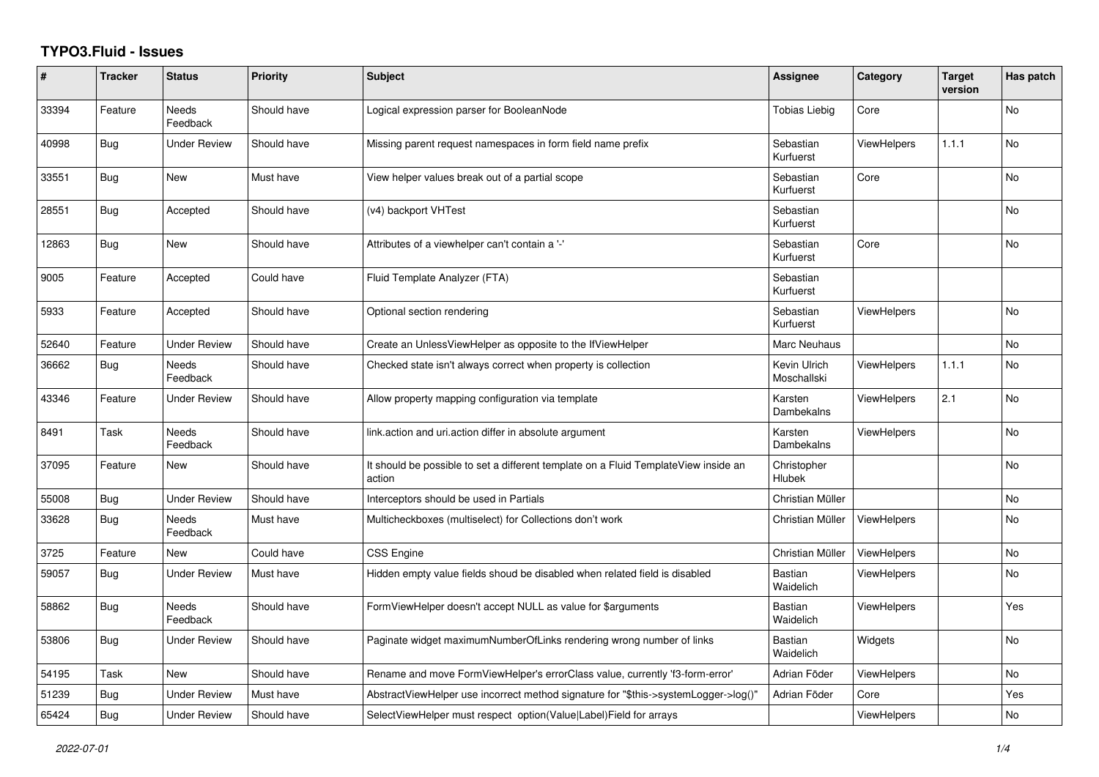## **TYPO3.Fluid - Issues**

| #     | <b>Tracker</b> | <b>Status</b>            | <b>Priority</b> | <b>Subject</b>                                                                                | Assignee                    | Category           | <b>Target</b><br>version | Has patch      |
|-------|----------------|--------------------------|-----------------|-----------------------------------------------------------------------------------------------|-----------------------------|--------------------|--------------------------|----------------|
| 33394 | Feature        | <b>Needs</b><br>Feedback | Should have     | Logical expression parser for BooleanNode                                                     | <b>Tobias Liebig</b>        | Core               |                          | <b>No</b>      |
| 40998 | <b>Bug</b>     | <b>Under Review</b>      | Should have     | Missing parent request namespaces in form field name prefix                                   | Sebastian<br>Kurfuerst      | <b>ViewHelpers</b> | 1.1.1                    | N <sub>o</sub> |
| 33551 | <b>Bug</b>     | New                      | Must have       | View helper values break out of a partial scope                                               | Sebastian<br>Kurfuerst      | Core               |                          | No             |
| 28551 | Bug            | Accepted                 | Should have     | (v4) backport VHTest                                                                          | Sebastian<br>Kurfuerst      |                    |                          | No             |
| 12863 | <b>Bug</b>     | <b>New</b>               | Should have     | Attributes of a viewhelper can't contain a '-'                                                | Sebastian<br>Kurfuerst      | Core               |                          | <b>No</b>      |
| 9005  | Feature        | Accepted                 | Could have      | Fluid Template Analyzer (FTA)                                                                 | Sebastian<br>Kurfuerst      |                    |                          |                |
| 5933  | Feature        | Accepted                 | Should have     | Optional section rendering                                                                    | Sebastian<br>Kurfuerst      | <b>ViewHelpers</b> |                          | <b>No</b>      |
| 52640 | Feature        | <b>Under Review</b>      | Should have     | Create an UnlessViewHelper as opposite to the IfViewHelper                                    | Marc Neuhaus                |                    |                          | No             |
| 36662 | Bug            | <b>Needs</b><br>Feedback | Should have     | Checked state isn't always correct when property is collection                                | Kevin Ulrich<br>Moschallski | <b>ViewHelpers</b> | 1.1.1                    | <b>No</b>      |
| 43346 | Feature        | Under Review             | Should have     | Allow property mapping configuration via template                                             | Karsten<br>Dambekalns       | <b>ViewHelpers</b> | 2.1                      | No             |
| 8491  | Task           | Needs<br>Feedback        | Should have     | link.action and uri.action differ in absolute argument                                        | Karsten<br>Dambekalns       | <b>ViewHelpers</b> |                          | No             |
| 37095 | Feature        | New                      | Should have     | It should be possible to set a different template on a Fluid TemplateView inside an<br>action | Christopher<br>Hlubek       |                    |                          | <b>No</b>      |
| 55008 | Bug            | <b>Under Review</b>      | Should have     | Interceptors should be used in Partials                                                       | Christian Müller            |                    |                          | <b>No</b>      |
| 33628 | Bug            | Needs<br>Feedback        | Must have       | Multicheckboxes (multiselect) for Collections don't work                                      | Christian Müller            | <b>ViewHelpers</b> |                          | No             |
| 3725  | Feature        | New                      | Could have      | CSS Engine                                                                                    | Christian Müller            | ViewHelpers        |                          | No             |
| 59057 | <b>Bug</b>     | <b>Under Review</b>      | Must have       | Hidden empty value fields shoud be disabled when related field is disabled                    | Bastian<br>Waidelich        | <b>ViewHelpers</b> |                          | N <sub>o</sub> |
| 58862 | <b>Bug</b>     | Needs<br>Feedback        | Should have     | FormViewHelper doesn't accept NULL as value for \$arguments                                   | Bastian<br>Waidelich        | <b>ViewHelpers</b> |                          | Yes            |
| 53806 | <b>Bug</b>     | Under Review             | Should have     | Paginate widget maximumNumberOfLinks rendering wrong number of links                          | Bastian<br>Waidelich        | Widgets            |                          | No             |
| 54195 | Task           | New                      | Should have     | Rename and move FormViewHelper's errorClass value, currently 'f3-form-error'                  | Adrian Föder                | ViewHelpers        |                          | <b>No</b>      |
| 51239 | Bug            | <b>Under Review</b>      | Must have       | AbstractViewHelper use incorrect method signature for "\$this->systemLogger->log()"           | Adrian Föder                | Core               |                          | Yes            |
| 65424 | Bug            | <b>Under Review</b>      | Should have     | SelectViewHelper must respect option(Value Label)Field for arrays                             |                             | ViewHelpers        |                          | No             |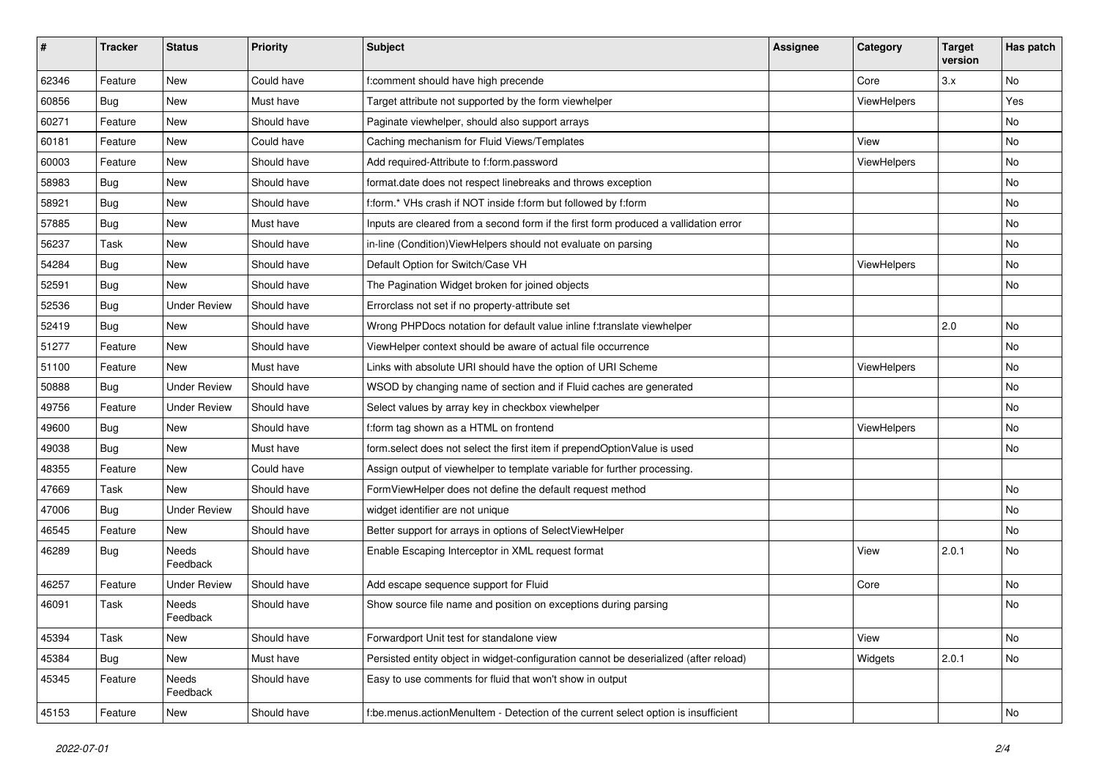| #     | <b>Tracker</b> | <b>Status</b>            | Priority    | <b>Subject</b>                                                                        | <b>Assignee</b> | Category           | <b>Target</b><br>version | Has patch |
|-------|----------------|--------------------------|-------------|---------------------------------------------------------------------------------------|-----------------|--------------------|--------------------------|-----------|
| 62346 | Feature        | New                      | Could have  | f:comment should have high precende                                                   |                 | Core               | 3.x                      | <b>No</b> |
| 60856 | Bug            | New                      | Must have   | Target attribute not supported by the form viewhelper                                 |                 | ViewHelpers        |                          | Yes       |
| 60271 | Feature        | New                      | Should have | Paginate viewhelper, should also support arrays                                       |                 |                    |                          | No        |
| 60181 | Feature        | New                      | Could have  | Caching mechanism for Fluid Views/Templates                                           |                 | View               |                          | No        |
| 60003 | Feature        | New                      | Should have | Add required-Attribute to f:form.password                                             |                 | ViewHelpers        |                          | No        |
| 58983 | Bug            | New                      | Should have | format.date does not respect linebreaks and throws exception                          |                 |                    |                          | No        |
| 58921 | <b>Bug</b>     | New                      | Should have | f:form.* VHs crash if NOT inside f:form but followed by f:form                        |                 |                    |                          | No        |
| 57885 | <b>Bug</b>     | New                      | Must have   | Inputs are cleared from a second form if the first form produced a vallidation error  |                 |                    |                          | No        |
| 56237 | Task           | New                      | Should have | in-line (Condition) ViewHelpers should not evaluate on parsing                        |                 |                    |                          | No        |
| 54284 | Bug            | New                      | Should have | Default Option for Switch/Case VH                                                     |                 | ViewHelpers        |                          | No        |
| 52591 | Bug            | <b>New</b>               | Should have | The Pagination Widget broken for joined objects                                       |                 |                    |                          | No        |
| 52536 | <b>Bug</b>     | <b>Under Review</b>      | Should have | Errorclass not set if no property-attribute set                                       |                 |                    |                          |           |
| 52419 | Bug            | <b>New</b>               | Should have | Wrong PHPDocs notation for default value inline f:translate viewhelper                |                 |                    | 2.0                      | No        |
| 51277 | Feature        | New                      | Should have | ViewHelper context should be aware of actual file occurrence                          |                 |                    |                          | No        |
| 51100 | Feature        | New                      | Must have   | Links with absolute URI should have the option of URI Scheme                          |                 | <b>ViewHelpers</b> |                          | No        |
| 50888 | <b>Bug</b>     | <b>Under Review</b>      | Should have | WSOD by changing name of section and if Fluid caches are generated                    |                 |                    |                          | No        |
| 49756 | Feature        | <b>Under Review</b>      | Should have | Select values by array key in checkbox viewhelper                                     |                 |                    |                          | No        |
| 49600 | <b>Bug</b>     | New                      | Should have | f:form tag shown as a HTML on frontend                                                |                 | ViewHelpers        |                          | No        |
| 49038 | Bug            | New                      | Must have   | form.select does not select the first item if prependOptionValue is used              |                 |                    |                          | No        |
| 48355 | Feature        | New                      | Could have  | Assign output of viewhelper to template variable for further processing.              |                 |                    |                          |           |
| 47669 | Task           | New                      | Should have | FormViewHelper does not define the default request method                             |                 |                    |                          | No        |
| 47006 | Bug            | <b>Under Review</b>      | Should have | widget identifier are not unique                                                      |                 |                    |                          | No        |
| 46545 | Feature        | New                      | Should have | Better support for arrays in options of SelectViewHelper                              |                 |                    |                          | No        |
| 46289 | <b>Bug</b>     | <b>Needs</b><br>Feedback | Should have | Enable Escaping Interceptor in XML request format                                     |                 | View               | 2.0.1                    | No        |
| 46257 | Feature        | <b>Under Review</b>      | Should have | Add escape sequence support for Fluid                                                 |                 | Core               |                          | <b>No</b> |
| 46091 | Task           | Needs<br>Feedback        | Should have | Show source file name and position on exceptions during parsing                       |                 |                    |                          | No        |
| 45394 | Task           | New                      | Should have | Forwardport Unit test for standalone view                                             |                 | View               |                          | No        |
| 45384 | <b>Bug</b>     | New                      | Must have   | Persisted entity object in widget-configuration cannot be deserialized (after reload) |                 | Widgets            | 2.0.1                    | No        |
| 45345 | Feature        | Needs<br>Feedback        | Should have | Easy to use comments for fluid that won't show in output                              |                 |                    |                          |           |
| 45153 | Feature        | New                      | Should have | f:be.menus.actionMenuItem - Detection of the current select option is insufficient    |                 |                    |                          | No        |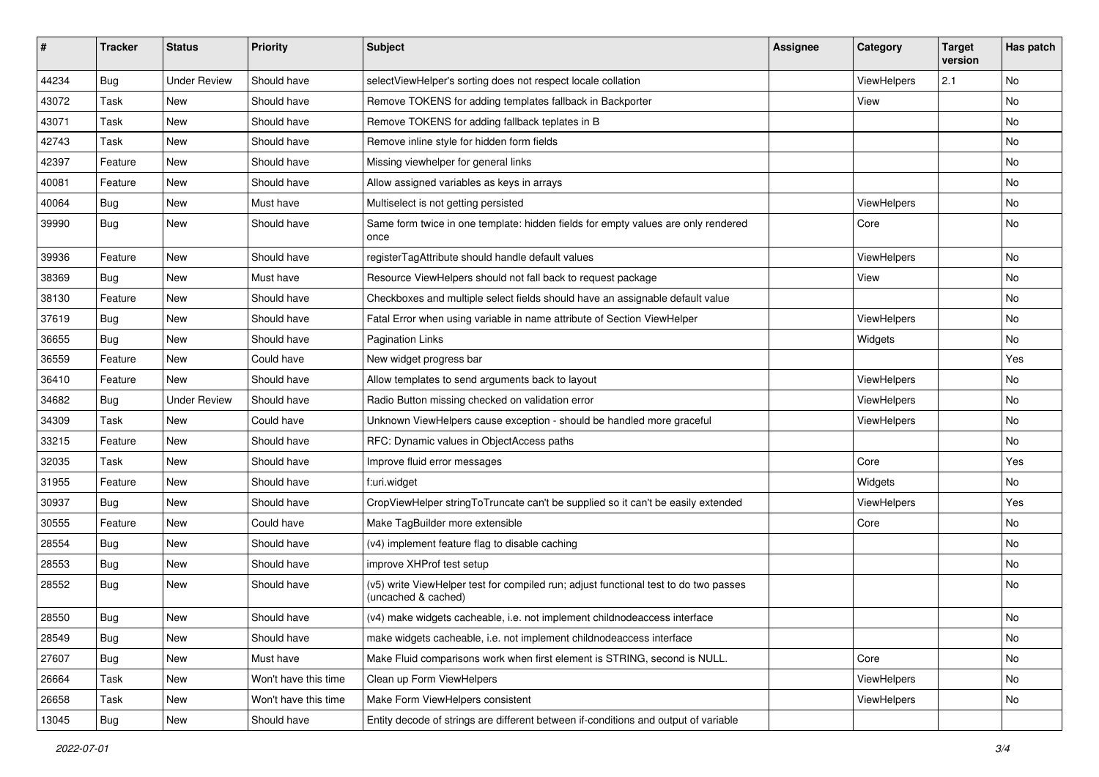| #     | <b>Tracker</b> | <b>Status</b>       | <b>Priority</b>      | <b>Subject</b>                                                                                              | <b>Assignee</b> | Category    | <b>Target</b><br>version | Has patch |
|-------|----------------|---------------------|----------------------|-------------------------------------------------------------------------------------------------------------|-----------------|-------------|--------------------------|-----------|
| 44234 | Bug            | <b>Under Review</b> | Should have          | selectViewHelper's sorting does not respect locale collation                                                |                 | ViewHelpers | 2.1                      | <b>No</b> |
| 43072 | Task           | New                 | Should have          | Remove TOKENS for adding templates fallback in Backporter                                                   |                 | View        |                          | No        |
| 43071 | Task           | New                 | Should have          | Remove TOKENS for adding fallback teplates in B                                                             |                 |             |                          | No        |
| 42743 | Task           | New                 | Should have          | Remove inline style for hidden form fields                                                                  |                 |             |                          | No        |
| 42397 | Feature        | New                 | Should have          | Missing viewhelper for general links                                                                        |                 |             |                          | No        |
| 40081 | Feature        | New                 | Should have          | Allow assigned variables as keys in arrays                                                                  |                 |             |                          | No        |
| 40064 | Bug            | New                 | Must have            | Multiselect is not getting persisted                                                                        |                 | ViewHelpers |                          | No        |
| 39990 | Bug            | New                 | Should have          | Same form twice in one template: hidden fields for empty values are only rendered<br>once                   |                 | Core        |                          | No        |
| 39936 | Feature        | New                 | Should have          | registerTagAttribute should handle default values                                                           |                 | ViewHelpers |                          | No        |
| 38369 | Bug            | New                 | Must have            | Resource ViewHelpers should not fall back to request package                                                |                 | View        |                          | No        |
| 38130 | Feature        | New                 | Should have          | Checkboxes and multiple select fields should have an assignable default value                               |                 |             |                          | No        |
| 37619 | Bug            | New                 | Should have          | Fatal Error when using variable in name attribute of Section ViewHelper                                     |                 | ViewHelpers |                          | No        |
| 36655 | Bug            | New                 | Should have          | <b>Pagination Links</b>                                                                                     |                 | Widgets     |                          | No        |
| 36559 | Feature        | New                 | Could have           | New widget progress bar                                                                                     |                 |             |                          | Yes       |
| 36410 | Feature        | New                 | Should have          | Allow templates to send arguments back to layout                                                            |                 | ViewHelpers |                          | No        |
| 34682 | Bug            | <b>Under Review</b> | Should have          | Radio Button missing checked on validation error                                                            |                 | ViewHelpers |                          | No        |
| 34309 | Task           | New                 | Could have           | Unknown ViewHelpers cause exception - should be handled more graceful                                       |                 | ViewHelpers |                          | No        |
| 33215 | Feature        | New                 | Should have          | RFC: Dynamic values in ObjectAccess paths                                                                   |                 |             |                          | <b>No</b> |
| 32035 | Task           | New                 | Should have          | Improve fluid error messages                                                                                |                 | Core        |                          | Yes       |
| 31955 | Feature        | New                 | Should have          | f:uri.widget                                                                                                |                 | Widgets     |                          | No        |
| 30937 | Bug            | New                 | Should have          | CropViewHelper stringToTruncate can't be supplied so it can't be easily extended                            |                 | ViewHelpers |                          | Yes       |
| 30555 | Feature        | New                 | Could have           | Make TagBuilder more extensible                                                                             |                 | Core        |                          | No        |
| 28554 | Bug            | New                 | Should have          | (v4) implement feature flag to disable caching                                                              |                 |             |                          | <b>No</b> |
| 28553 | Bug            | New                 | Should have          | improve XHProf test setup                                                                                   |                 |             |                          | No        |
| 28552 | Bug            | New                 | Should have          | (v5) write ViewHelper test for compiled run; adjust functional test to do two passes<br>(uncached & cached) |                 |             |                          | <b>No</b> |
| 28550 | Bug            | New                 | Should have          | (v4) make widgets cacheable, i.e. not implement childnodeaccess interface                                   |                 |             |                          | No        |
| 28549 | <b>Bug</b>     | New                 | Should have          | make widgets cacheable, i.e. not implement childnodeaccess interface                                        |                 |             |                          | No        |
| 27607 | Bug            | New                 | Must have            | Make Fluid comparisons work when first element is STRING, second is NULL.                                   |                 | Core        |                          | No        |
| 26664 | Task           | New                 | Won't have this time | Clean up Form ViewHelpers                                                                                   |                 | ViewHelpers |                          | No        |
| 26658 | Task           | New                 | Won't have this time | Make Form ViewHelpers consistent                                                                            |                 | ViewHelpers |                          | No        |
| 13045 | Bug            | New                 | Should have          | Entity decode of strings are different between if-conditions and output of variable                         |                 |             |                          |           |